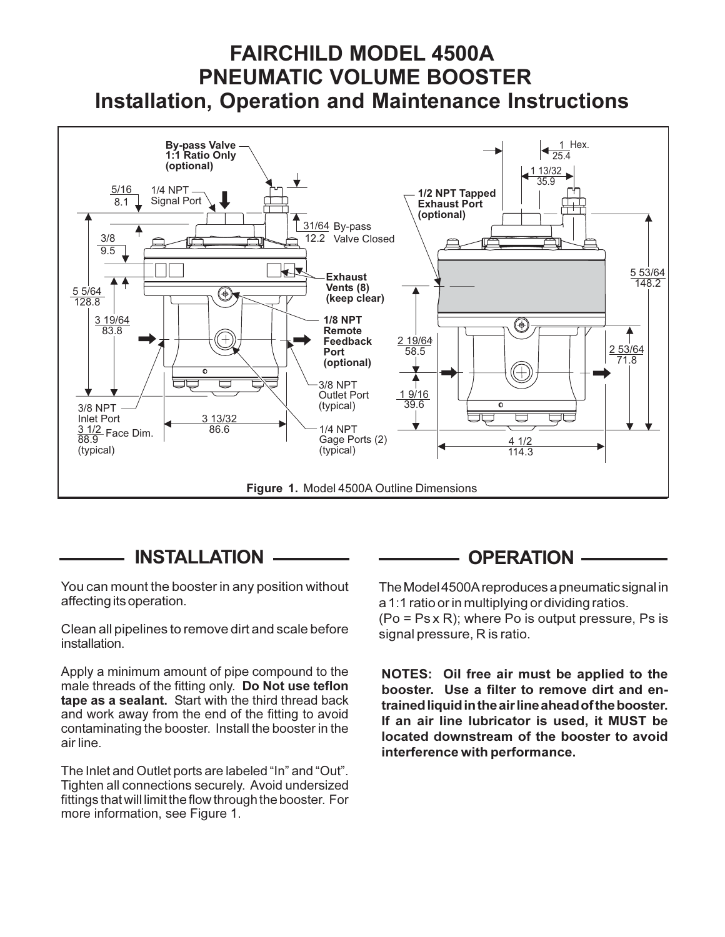# FAIRCHILD MODEL 4500A PNEUMATIC VOLUME BOOSTER Installation, Operation and Maintenance Instructions



## INSTALLATION

You can mount the booster in any position without affecting its operation.

Clean all pipelines to remove dirt and scale before installation.

Apply a minimum amount of pipe compound to the male threads of the fitting only. Do Not use teflon tape as a sealant. Start with the third thread back and work away from the end of the fitting to avoid contaminating the booster. Install the booster in the air line.

The Inlet and Outlet ports are labeled "In" and "Out". Tighten all connections securely. Avoid undersized fittings that will limit the flow through the booster. For more information, see Figure 1.

### OPERATION

The Model 4500A reproduces a pneumatic signal in a 1:1 ratio or in multiplying or dividing ratios.

(Po = Ps x R); where Po is output pressure, Ps is signal pressure, R is ratio.

NOTES: Oil free air must be applied to the booster. Use a filter to remove dirt and entrained liquid in the air line ahead of the booster. If an air line lubricator is used, it MUST be located downstream of the booster to avoid interference with performance.